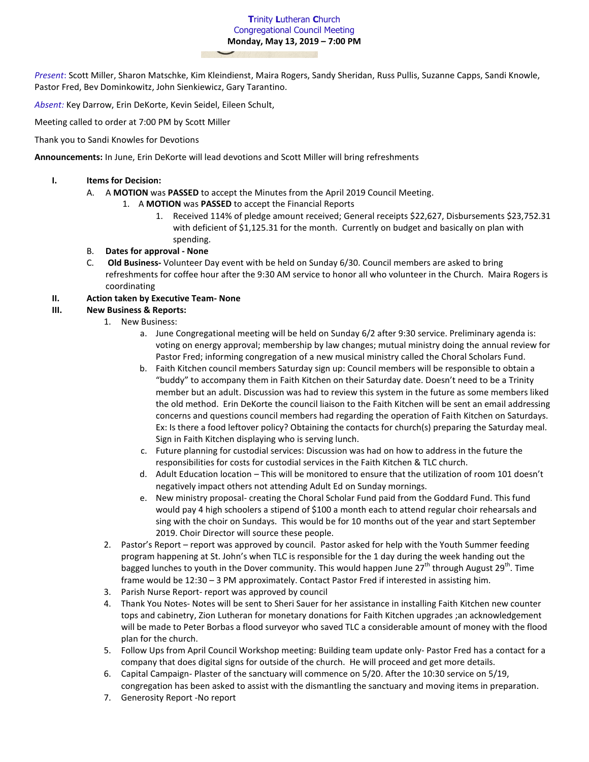**T**rinity **L**utheran **C**hurch Congregational Council Meeting **Monday, May 13, 2019 – 7:00 PM**

*Present*: Scott Miller, Sharon Matschke, Kim Kleindienst, Maira Rogers, Sandy Sheridan, Russ Pullis, Suzanne Capps, Sandi Knowle, Pastor Fred, Bev Dominkowitz, John Sienkiewicz, Gary Tarantino.

*Absent:* Key Darrow, Erin DeKorte, Kevin Seidel, Eileen Schult,

Meeting called to order at 7:00 PM by Scott Miller

Thank you to Sandi Knowles for Devotions

**Announcements:** In June, Erin DeKorte will lead devotions and Scott Miller will bring refreshments

#### **I. Items for Decision:**

- A. A **MOTION** was **PASSED** to accept the Minutes from the April 2019 Council Meeting.
	- 1. A **MOTION** was **PASSED** to accept the Financial Reports
		- 1. Received 114% of pledge amount received; General receipts \$22,627, Disbursements \$23,752.31 with deficient of \$1,125.31 for the month. Currently on budget and basically on plan with spending.

## B. **Dates for approval - None**

C. **Old Business-** Volunteer Day event with be held on Sunday 6/30. Council members are asked to bring refreshments for coffee hour after the 9:30 AM service to honor all who volunteer in the Church. Maira Rogers is coordinating

## **II. Action taken by Executive Team- None**

# **III. New Business & Reports:**

- 1. New Business:
	- a. June Congregational meeting will be held on Sunday 6/2 after 9:30 service. Preliminary agenda is: voting on energy approval; membership by law changes; mutual ministry doing the annual review for Pastor Fred; informing congregation of a new musical ministry called the Choral Scholars Fund.
	- b. Faith Kitchen council members Saturday sign up: Council members will be responsible to obtain a "buddy" to accompany them in Faith Kitchen on their Saturday date. Doesn't need to be a Trinity member but an adult. Discussion was had to review this system in the future as some members liked the old method. Erin DeKorte the council liaison to the Faith Kitchen will be sent an email addressing concerns and questions council members had regarding the operation of Faith Kitchen on Saturdays. Ex: Is there a food leftover policy? Obtaining the contacts for church(s) preparing the Saturday meal. Sign in Faith Kitchen displaying who is serving lunch.
	- c. Future planning for custodial services: Discussion was had on how to address in the future the responsibilities for costs for custodial services in the Faith Kitchen & TLC church.
	- d. Adult Education location This will be monitored to ensure that the utilization of room 101 doesn't negatively impact others not attending Adult Ed on Sunday mornings.
	- e. New ministry proposal- creating the Choral Scholar Fund paid from the Goddard Fund. This fund would pay 4 high schoolers a stipend of \$100 a month each to attend regular choir rehearsals and sing with the choir on Sundays. This would be for 10 months out of the year and start September 2019. Choir Director will source these people.
- 2. Pastor's Report report was approved by council. Pastor asked for help with the Youth Summer feeding program happening at St. John's when TLC is responsible for the 1 day during the week handing out the bagged lunches to youth in the Dover community. This would happen June 27<sup>th</sup> through August 29<sup>th</sup>. Time frame would be 12:30 – 3 PM approximately. Contact Pastor Fred if interested in assisting him.
- 3. Parish Nurse Report- report was approved by council
- 4. Thank You Notes- Notes will be sent to Sheri Sauer for her assistance in installing Faith Kitchen new counter tops and cabinetry, Zion Lutheran for monetary donations for Faith Kitchen upgrades ;an acknowledgement will be made to Peter Borbas a flood surveyor who saved TLC a considerable amount of money with the flood plan for the church.
- 5. Follow Ups from April Council Workshop meeting: Building team update only- Pastor Fred has a contact for a company that does digital signs for outside of the church. He will proceed and get more details.
- 6. Capital Campaign- Plaster of the sanctuary will commence on 5/20. After the 10:30 service on 5/19, congregation has been asked to assist with the dismantling the sanctuary and moving items in preparation.
- 7. Generosity Report -No report